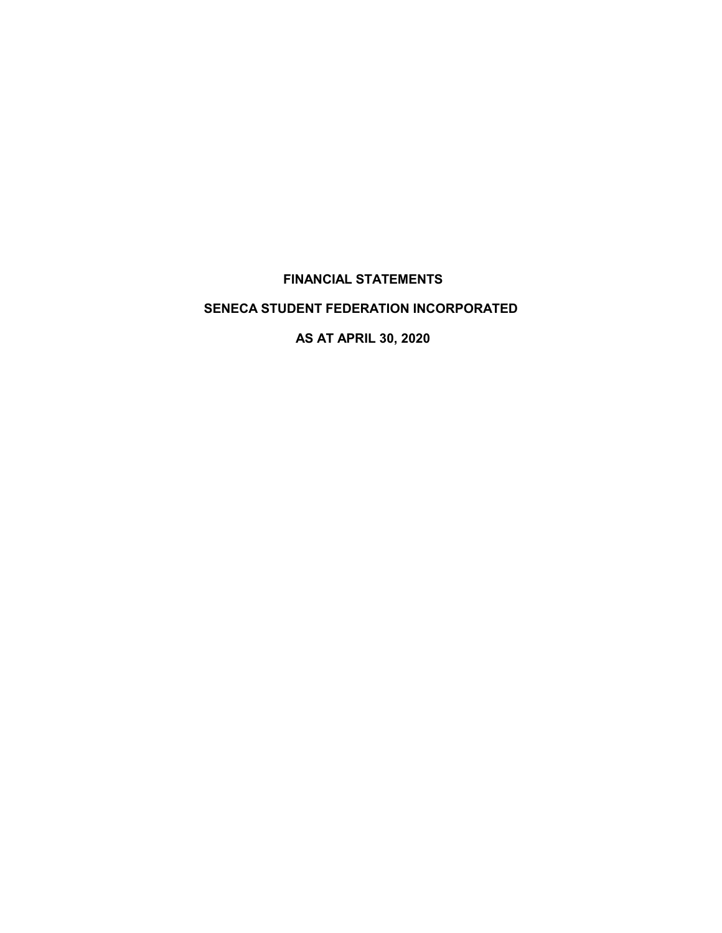# **FINANCIAL STATEMENTS**

# **SENECA STUDENT FEDERATION INCORPORATED**

**AS AT APRIL 30, 2020**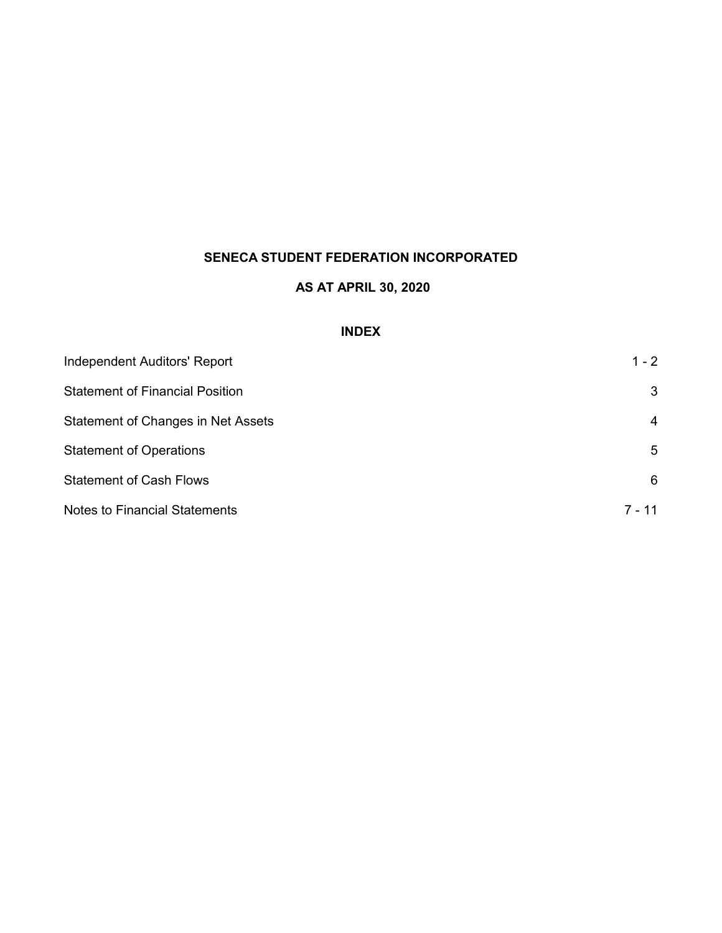# **AS AT APRIL 30, 2020**

# **INDEX**

| <b>Independent Auditors' Report</b>    | $1 - 2$ |
|----------------------------------------|---------|
| <b>Statement of Financial Position</b> | 3       |
| Statement of Changes in Net Assets     | 4       |
| <b>Statement of Operations</b>         | 5       |
| <b>Statement of Cash Flows</b>         | 6       |
| <b>Notes to Financial Statements</b>   | 7 - 11  |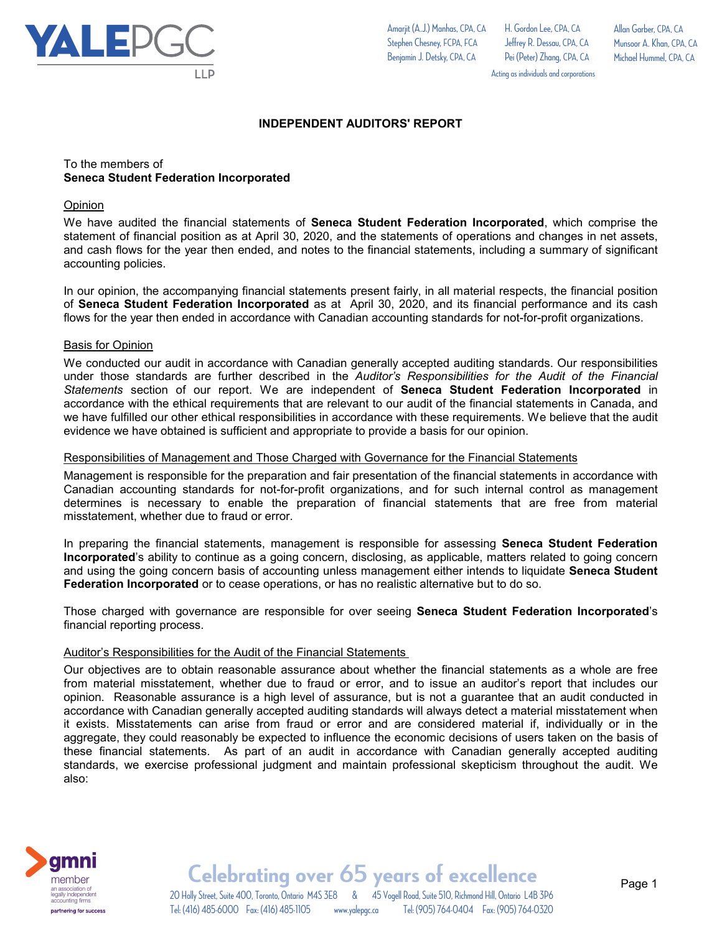

To the members of

accounting policies.

**Opinion** 

**Seneca Student Federation Incorporated**

H. Gordon Lee, CPA, CA Jeffrey R. Dessau, CPA, CA Pei (Peter) Zhang, CPA, CA Allan Garber, CPA, CA Munsoor A. Khan, CPA, CA Michael Hummel, CPA, CA

Acting as individuals and corporations

We have audited the financial statements of **Seneca Student Federation Incorporated**, which comprise the statement of financial position as at April 30, 2020, and the statements of operations and changes in net assets, and cash flows for the year then ended, and notes to the financial statements, including a summary of significant

In our opinion, the accompanying financial statements present fairly, in all material respects, the financial position of **Seneca Student Federation Incorporated** as at April 30, 2020, and its financial performance and its cash flows for the year then ended in accordance with Canadian accounting standards for not-for-profit organizations.

**INDEPENDENT AUDITORS' REPORT**

#### Basis for Opinion

We conducted our audit in accordance with Canadian generally accepted auditing standards. Our responsibilities under those standards are further described in the *Auditor's Responsibilities for the Audit of the Financial Statements* section of our report. We are independent of **Seneca Student Federation Incorporated** in accordance with the ethical requirements that are relevant to our audit of the financial statements in Canada, and we have fulfilled our other ethical responsibilities in accordance with these requirements. We believe that the audit evidence we have obtained is sufficient and appropriate to provide a basis for our opinion.

#### Responsibilities of Management and Those Charged with Governance for the Financial Statements

Management is responsible for the preparation and fair presentation of the financial statements in accordance with Canadian accounting standards for not-for-profit organizations, and for such internal control as management determines is necessary to enable the preparation of financial statements that are free from material misstatement, whether due to fraud or error.

In preparing the financial statements, management is responsible for assessing **Seneca Student Federation Incorporated**'s ability to continue as a going concern, disclosing, as applicable, matters related to going concern and using the going concern basis of accounting unless management either intends to liquidate **Seneca Student Federation Incorporated** or to cease operations, or has no realistic alternative but to do so.

Those charged with governance are responsible for over seeing **Seneca Student Federation Incorporated**'s financial reporting process.

#### Auditor's Responsibilities for the Audit of the Financial Statements

Our objectives are to obtain reasonable assurance about whether the financial statements as a whole are free from material misstatement, whether due to fraud or error, and to issue an auditor's report that includes our opinion. Reasonable assurance is a high level of assurance, but is not a guarantee that an audit conducted in accordance with Canadian generally accepted auditing standards will always detect a material misstatement when it exists. Misstatements can arise from fraud or error and are considered material if, individually or in the aggregate, they could reasonably be expected to influence the economic decisions of users taken on the basis of these financial statements. As part of an audit in accordance with Canadian generally accepted auditing standards, we exercise professional judgment and maintain professional skepticism throughout the audit. We also:



20 Holly Street, Suite 400, Toronto, Ontario M4S 3E8 & 45 Vogell Road, Suite 510, Richmond Hill, Ontario L4B 3P6 **Celebrating over 65 years of excellence** Tel: (416) 485-6000 Fax: (416) 485-1105 www.yalepgc.ca Tel: (905) 764-0404 Fax: (905) 764-0320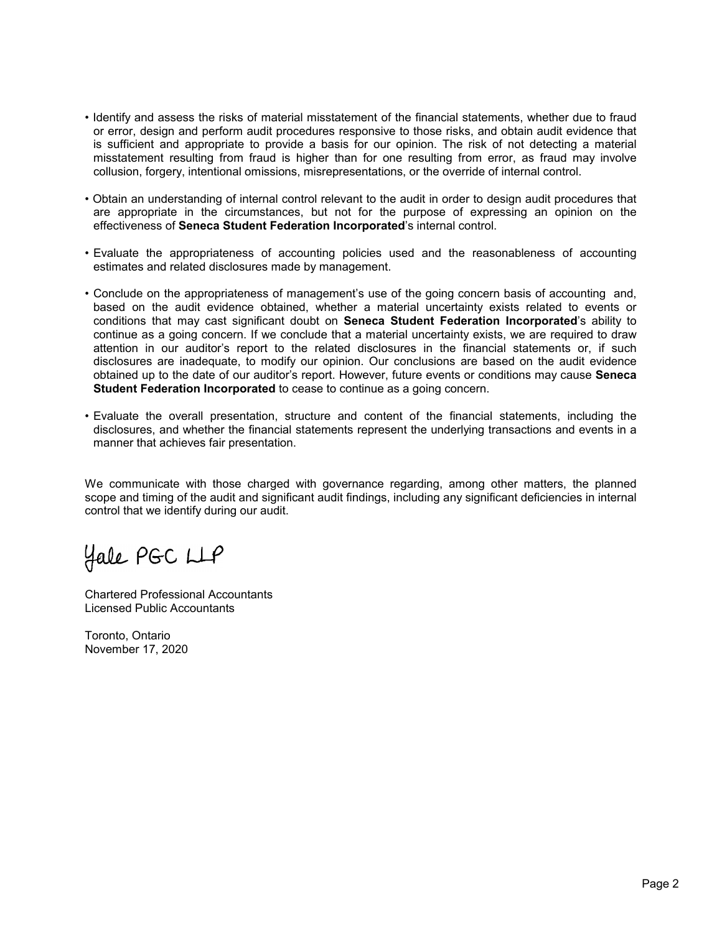- Identify and assess the risks of material misstatement of the financial statements, whether due to fraud or error, design and perform audit procedures responsive to those risks, and obtain audit evidence that is sufficient and appropriate to provide a basis for our opinion. The risk of not detecting a material misstatement resulting from fraud is higher than for one resulting from error, as fraud may involve collusion, forgery, intentional omissions, misrepresentations, or the override of internal control.
- Obtain an understanding of internal control relevant to the audit in order to design audit procedures that are appropriate in the circumstances, but not for the purpose of expressing an opinion on the effectiveness of **Seneca Student Federation Incorporated**'s internal control.
- Evaluate the appropriateness of accounting policies used and the reasonableness of accounting estimates and related disclosures made by management.
- Conclude on the appropriateness of management's use of the going concern basis of accounting and, based on the audit evidence obtained, whether a material uncertainty exists related to events or conditions that may cast significant doubt on **Seneca Student Federation Incorporated**'s ability to continue as a going concern. If we conclude that a material uncertainty exists, we are required to draw attention in our auditor's report to the related disclosures in the financial statements or, if such disclosures are inadequate, to modify our opinion. Our conclusions are based on the audit evidence obtained up to the date of our auditor's report. However, future events or conditions may cause **Seneca Student Federation Incorporated** to cease to continue as a going concern.
- Evaluate the overall presentation, structure and content of the financial statements, including the disclosures, and whether the financial statements represent the underlying transactions and events in a manner that achieves fair presentation.

We communicate with those charged with governance regarding, among other matters, the planned scope and timing of the audit and significant audit findings, including any significant deficiencies in internal control that we identify during our audit.

Hale PGC LLP

Chartered Professional Accountants Licensed Public Accountants

Toronto, Ontario November 17, 2020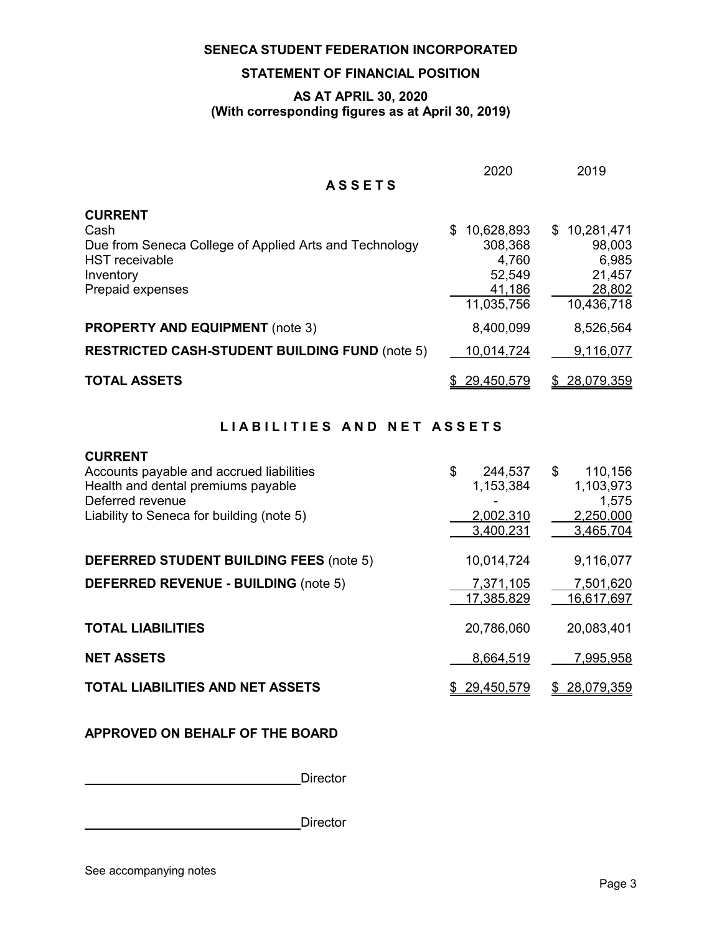# **STATEMENT OF FINANCIAL POSITION**

#### **AS AT APRIL 30, 2020 (With corresponding figures as at April 30, 2019)**

|                                                                                                                                            | 2020                                                                    | 2019                                                              |
|--------------------------------------------------------------------------------------------------------------------------------------------|-------------------------------------------------------------------------|-------------------------------------------------------------------|
| <b>ASSETS</b>                                                                                                                              |                                                                         |                                                                   |
| <b>CURRENT</b><br>Cash<br>Due from Seneca College of Applied Arts and Technology<br><b>HST</b> receivable<br>Inventory<br>Prepaid expenses | 10,628,893<br>\$.<br>308,368<br>4,760<br>52,549<br>41,186<br>11,035,756 | \$10,281,471<br>98,003<br>6,985<br>21,457<br>28,802<br>10,436,718 |
| <b>PROPERTY AND EQUIPMENT</b> (note 3)                                                                                                     | 8,400,099                                                               | 8,526,564<br>9,116,077                                            |
| <b>RESTRICTED CASH-STUDENT BUILDING FUND (note 5)</b><br><b>TOTAL ASSETS</b>                                                               | 10,014,724<br>29,450,579<br>S                                           | 28,079,359<br>S.                                                  |

# LIABILITIES AND NET ASSETS

| <b>CURRENT</b><br>Accounts payable and accrued liabilities<br>Health and dental premiums payable<br>Deferred revenue<br>Liability to Seneca for building (note 5) | \$<br>244,537<br>1,153,384<br>2,002,310<br>3,400,231 | \$<br>110,156<br>1,103,973<br>1,575<br>2,250,000<br>3,465,704 |
|-------------------------------------------------------------------------------------------------------------------------------------------------------------------|------------------------------------------------------|---------------------------------------------------------------|
| <b>DEFERRED STUDENT BUILDING FEES (note 5)</b>                                                                                                                    | 10,014,724                                           | 9,116,077                                                     |
| <b>DEFERRED REVENUE - BUILDING (note 5)</b>                                                                                                                       | 7,371,105<br>17,385,829                              | 7,501,620<br>16,617,697                                       |
| <b>TOTAL LIABILITIES</b>                                                                                                                                          | 20,786,060                                           | 20,083,401                                                    |
| <b>NET ASSETS</b>                                                                                                                                                 | 8,664,519                                            | 7,995,958                                                     |
| <b>TOTAL LIABILITIES AND NET ASSETS</b>                                                                                                                           | 29,450,579                                           | 28,079,359                                                    |

#### **APPROVED ON BEHALF OF THE BOARD**

**Director** 

Director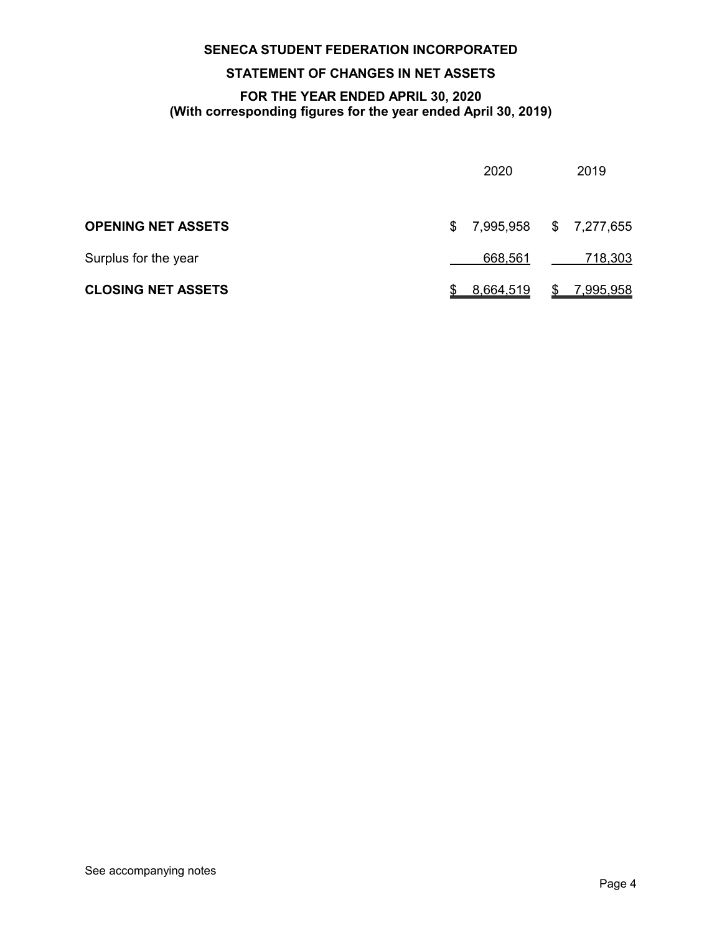# **STATEMENT OF CHANGES IN NET ASSETS**

#### **FOR THE YEAR ENDED APRIL 30, 2020 (With corresponding figures for the year ended April 30, 2019)**

|                           |    | 2020                   | 2019           |
|---------------------------|----|------------------------|----------------|
| <b>OPENING NET ASSETS</b> | S. | 7,995,958 \$ 7,277,655 |                |
| Surplus for the year      |    | 668,561                | <u>718,303</u> |
| <b>CLOSING NET ASSETS</b> |    | 8,664,519              | \$7,995,958    |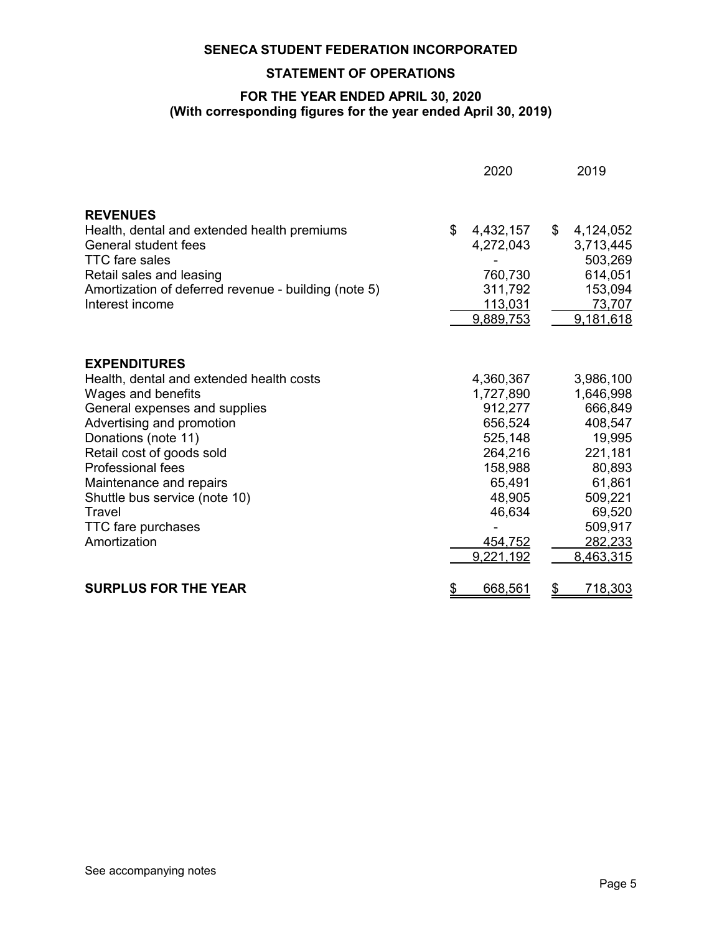### **STATEMENT OF OPERATIONS**

#### **FOR THE YEAR ENDED APRIL 30, 2020 (With corresponding figures for the year ended April 30, 2019)**

|                                                                                                                                                                                                                                                                                                                                                 |           | 2020                                                                                                                                | 2019                                                                                                                                          |
|-------------------------------------------------------------------------------------------------------------------------------------------------------------------------------------------------------------------------------------------------------------------------------------------------------------------------------------------------|-----------|-------------------------------------------------------------------------------------------------------------------------------------|-----------------------------------------------------------------------------------------------------------------------------------------------|
| <b>REVENUES</b><br>Health, dental and extended health premiums<br><b>General student fees</b><br><b>TTC</b> fare sales<br>Retail sales and leasing<br>Amortization of deferred revenue - building (note 5)<br>Interest income                                                                                                                   | \$        | 4,432,157<br>4,272,043<br>760,730<br>311,792<br>113,031<br>9,889,753                                                                | \$<br>4,124,052<br>3,713,445<br>503,269<br>614,051<br>153,094<br>73,707<br>9,181,618                                                          |
| <b>EXPENDITURES</b><br>Health, dental and extended health costs<br>Wages and benefits<br>General expenses and supplies<br>Advertising and promotion<br>Donations (note 11)<br>Retail cost of goods sold<br><b>Professional fees</b><br>Maintenance and repairs<br>Shuttle bus service (note 10)<br>Travel<br>TTC fare purchases<br>Amortization |           | 4,360,367<br>1,727,890<br>912,277<br>656,524<br>525,148<br>264,216<br>158,988<br>65,491<br>48,905<br>46,634<br>454,752<br>9,221,192 | 3,986,100<br>1,646,998<br>666,849<br>408,547<br>19,995<br>221,181<br>80,893<br>61,861<br>509,221<br>69,520<br>509,917<br>282,233<br>8,463,315 |
| <b>SURPLUS FOR THE YEAR</b>                                                                                                                                                                                                                                                                                                                     | <u>\$</u> | 668,561                                                                                                                             | \$<br>718,303                                                                                                                                 |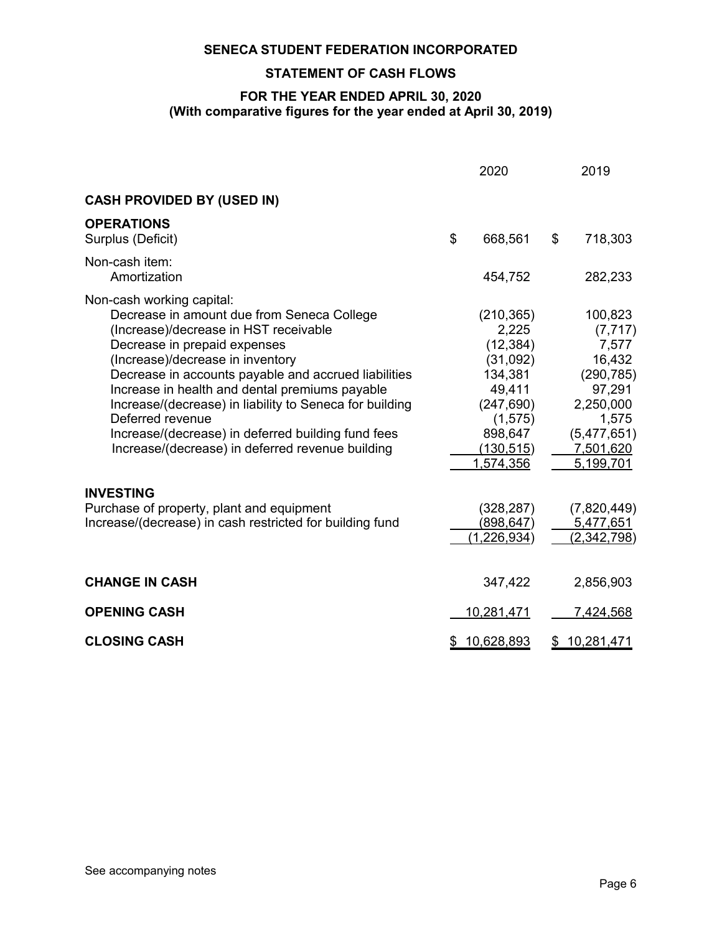#### **STATEMENT OF CASH FLOWS**

#### **FOR THE YEAR ENDED APRIL 30, 2020 (With comparative figures for the year ended at April 30, 2019)**

|                                                                                                                                                                                                                                                                                                                                                                                                                                                                                         | 2020                                                                                                                              | 2019                                                                                                                          |
|-----------------------------------------------------------------------------------------------------------------------------------------------------------------------------------------------------------------------------------------------------------------------------------------------------------------------------------------------------------------------------------------------------------------------------------------------------------------------------------------|-----------------------------------------------------------------------------------------------------------------------------------|-------------------------------------------------------------------------------------------------------------------------------|
| <b>CASH PROVIDED BY (USED IN)</b>                                                                                                                                                                                                                                                                                                                                                                                                                                                       |                                                                                                                                   |                                                                                                                               |
| <b>OPERATIONS</b><br>Surplus (Deficit)                                                                                                                                                                                                                                                                                                                                                                                                                                                  | \$<br>668,561                                                                                                                     | \$<br>718,303                                                                                                                 |
| Non-cash item:<br>Amortization                                                                                                                                                                                                                                                                                                                                                                                                                                                          | 454,752                                                                                                                           | 282,233                                                                                                                       |
| Non-cash working capital:<br>Decrease in amount due from Seneca College<br>(Increase)/decrease in HST receivable<br>Decrease in prepaid expenses<br>(Increase)/decrease in inventory<br>Decrease in accounts payable and accrued liabilities<br>Increase in health and dental premiums payable<br>Increase/(decrease) in liability to Seneca for building<br>Deferred revenue<br>Increase/(decrease) in deferred building fund fees<br>Increase/(decrease) in deferred revenue building | (210, 365)<br>2,225<br>(12, 384)<br>(31,092)<br>134,381<br>49,411<br>(247, 690)<br>(1, 575)<br>898,647<br>(130, 515)<br>1,574,356 | 100,823<br>(7, 717)<br>7,577<br>16,432<br>(290, 785)<br>97,291<br>2,250,000<br>1,575<br>(5,477,651)<br>7,501,620<br>5,199,701 |
| <b>INVESTING</b><br>Purchase of property, plant and equipment<br>Increase/(decrease) in cash restricted for building fund                                                                                                                                                                                                                                                                                                                                                               | (328, 287)<br>(898, 647)<br><u>(1,226,934)</u>                                                                                    | (7,820,449)<br>5,477,651<br><u>(2,342,798)</u>                                                                                |
| <b>CHANGE IN CASH</b>                                                                                                                                                                                                                                                                                                                                                                                                                                                                   | 347,422                                                                                                                           | 2,856,903                                                                                                                     |
| <b>OPENING CASH</b>                                                                                                                                                                                                                                                                                                                                                                                                                                                                     | 10,281,471                                                                                                                        | 7,424,568                                                                                                                     |
| <b>CLOSING CASH</b>                                                                                                                                                                                                                                                                                                                                                                                                                                                                     | \$<br>10,628,893                                                                                                                  | \$<br>10,281,471                                                                                                              |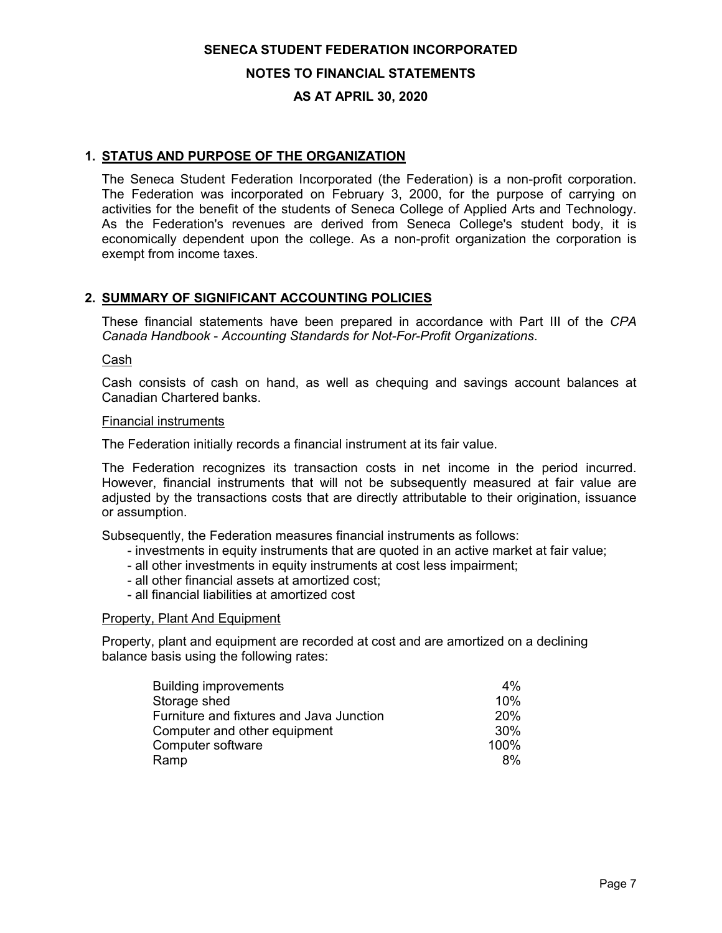#### **NOTES TO FINANCIAL STATEMENTS**

#### **AS AT APRIL 30, 2020**

#### **1. STATUS AND PURPOSE OF THE ORGANIZATION**

The Seneca Student Federation Incorporated (the Federation) is a non-profit corporation. The Federation was incorporated on February 3, 2000, for the purpose of carrying on activities for the benefit of the students of Seneca College of Applied Arts and Technology. As the Federation's revenues are derived from Seneca College's student body, it is economically dependent upon the college. As a non-profit organization the corporation is exempt from income taxes.

#### **2. SUMMARY OF SIGNIFICANT ACCOUNTING POLICIES**

These financial statements have been prepared in accordance with Part III of the *CPA Canada Handbook* - *Accounting Standards for Not-For-Profit Organizations*.

Cash

Cash consists of cash on hand, as well as chequing and savings account balances at Canadian Chartered banks.

#### Financial instruments

The Federation initially records a financial instrument at its fair value.

The Federation recognizes its transaction costs in net income in the period incurred. However, financial instruments that will not be subsequently measured at fair value are adjusted by the transactions costs that are directly attributable to their origination, issuance or assumption.

Subsequently, the Federation measures financial instruments as follows:

- investments in equity instruments that are quoted in an active market at fair value;
- all other investments in equity instruments at cost less impairment;
- all other financial assets at amortized cost;
- all financial liabilities at amortized cost

#### Property, Plant And Equipment

Property, plant and equipment are recorded at cost and are amortized on a declining balance basis using the following rates:

| <b>Building improvements</b>             | 4%              |
|------------------------------------------|-----------------|
| Storage shed                             | 10%             |
| Furniture and fixtures and Java Junction | <b>20%</b>      |
| Computer and other equipment             | 30 <sup>%</sup> |
| Computer software                        | 100%            |
| Ramp                                     | 8%              |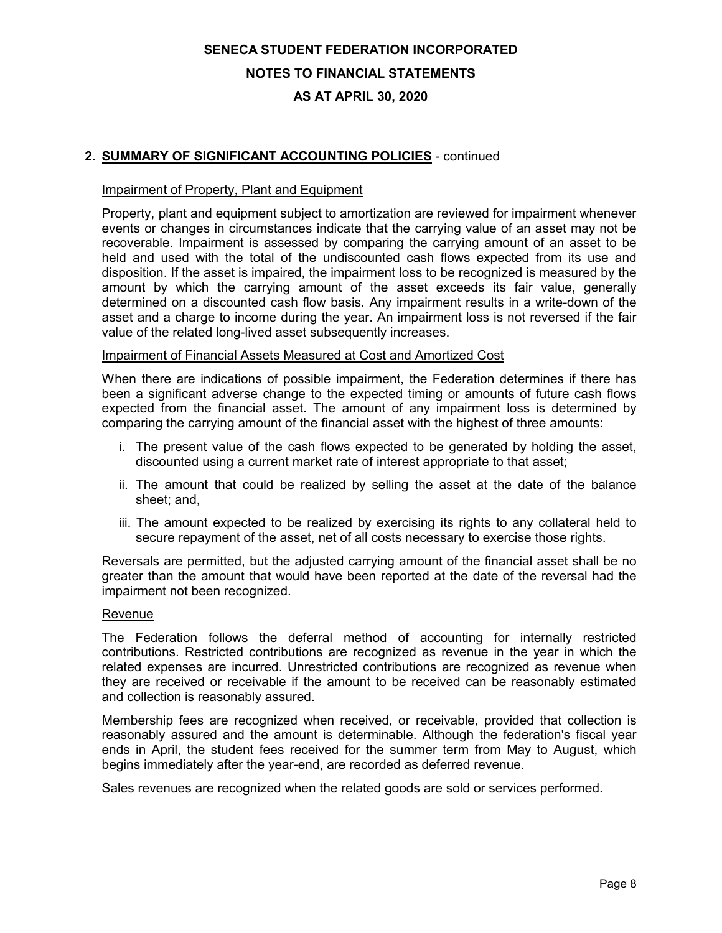#### **NOTES TO FINANCIAL STATEMENTS**

#### **AS AT APRIL 30, 2020**

#### **2. SUMMARY OF SIGNIFICANT ACCOUNTING POLICIES** - continued

#### Impairment of Property, Plant and Equipment

Property, plant and equipment subject to amortization are reviewed for impairment whenever events or changes in circumstances indicate that the carrying value of an asset may not be recoverable. Impairment is assessed by comparing the carrying amount of an asset to be held and used with the total of the undiscounted cash flows expected from its use and disposition. If the asset is impaired, the impairment loss to be recognized is measured by the amount by which the carrying amount of the asset exceeds its fair value, generally determined on a discounted cash flow basis. Any impairment results in a write-down of the asset and a charge to income during the year. An impairment loss is not reversed if the fair value of the related long-lived asset subsequently increases.

#### Impairment of Financial Assets Measured at Cost and Amortized Cost

When there are indications of possible impairment, the Federation determines if there has been a significant adverse change to the expected timing or amounts of future cash flows expected from the financial asset. The amount of any impairment loss is determined by comparing the carrying amount of the financial asset with the highest of three amounts:

- i. The present value of the cash flows expected to be generated by holding the asset, discounted using a current market rate of interest appropriate to that asset;
- ii. The amount that could be realized by selling the asset at the date of the balance sheet; and,
- iii. The amount expected to be realized by exercising its rights to any collateral held to secure repayment of the asset, net of all costs necessary to exercise those rights.

Reversals are permitted, but the adjusted carrying amount of the financial asset shall be no greater than the amount that would have been reported at the date of the reversal had the impairment not been recognized.

#### Revenue

The Federation follows the deferral method of accounting for internally restricted contributions. Restricted contributions are recognized as revenue in the year in which the related expenses are incurred. Unrestricted contributions are recognized as revenue when they are received or receivable if the amount to be received can be reasonably estimated and collection is reasonably assured.

Membership fees are recognized when received, or receivable, provided that collection is reasonably assured and the amount is determinable. Although the federation's fiscal year ends in April, the student fees received for the summer term from May to August, which begins immediately after the year-end, are recorded as deferred revenue.

Sales revenues are recognized when the related goods are sold or services performed.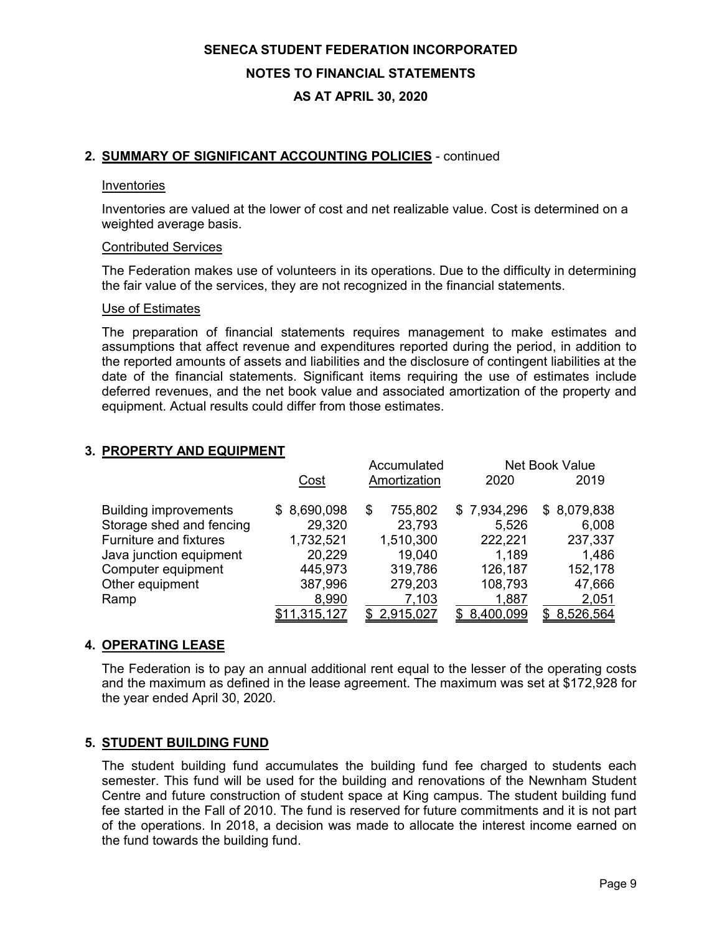# **SENECA STUDENT FEDERATION INCORPORATED NOTES TO FINANCIAL STATEMENTS**

# **AS AT APRIL 30, 2020**

#### **2. SUMMARY OF SIGNIFICANT ACCOUNTING POLICIES** - continued

#### Inventories

Inventories are valued at the lower of cost and net realizable value. Cost is determined on a weighted average basis.

#### Contributed Services

The Federation makes use of volunteers in its operations. Due to the difficulty in determining the fair value of the services, they are not recognized in the financial statements.

#### Use of Estimates

The preparation of financial statements requires management to make estimates and assumptions that affect revenue and expenditures reported during the period, in addition to the reported amounts of assets and liabilities and the disclosure of contingent liabilities at the date of the financial statements. Significant items requiring the use of estimates include deferred revenues, and the net book value and associated amortization of the property and equipment. Actual results could differ from those estimates.

#### **3. PROPERTY AND EQUIPMENT**

|                               |              | Accumulated  |             | Net Book Value |
|-------------------------------|--------------|--------------|-------------|----------------|
|                               | Cost         | Amortization | 2020        | 2019           |
| <b>Building improvements</b>  | \$8,690,098  | 755,802<br>S | \$7,934,296 | \$8,079,838    |
| Storage shed and fencing      | 29,320       | 23,793       | 5,526       | 6,008          |
| <b>Furniture and fixtures</b> | 1,732,521    | 1,510,300    | 222,221     | 237,337        |
| Java junction equipment       | 20,229       | 19,040       | 1,189       | 1,486          |
| Computer equipment            | 445,973      | 319,786      | 126,187     | 152,178        |
| Other equipment               | 387,996      | 279,203      | 108,793     | 47,666         |
| Ramp                          | 8,990        | 7,103        | 1,887       | 2,051          |
|                               | \$11,315,127 | \$2,915,027  | \$8,400,099 | \$ 8,526,564   |

#### **4. OPERATING LEASE**

The Federation is to pay an annual additional rent equal to the lesser of the operating costs and the maximum as defined in the lease agreement. The maximum was set at \$172,928 for the year ended April 30, 2020.

#### **5. STUDENT BUILDING FUND**

The student building fund accumulates the building fund fee charged to students each semester. This fund will be used for the building and renovations of the Newnham Student Centre and future construction of student space at King campus. The student building fund fee started in the Fall of 2010. The fund is reserved for future commitments and it is not part of the operations. In 2018, a decision was made to allocate the interest income earned on the fund towards the building fund.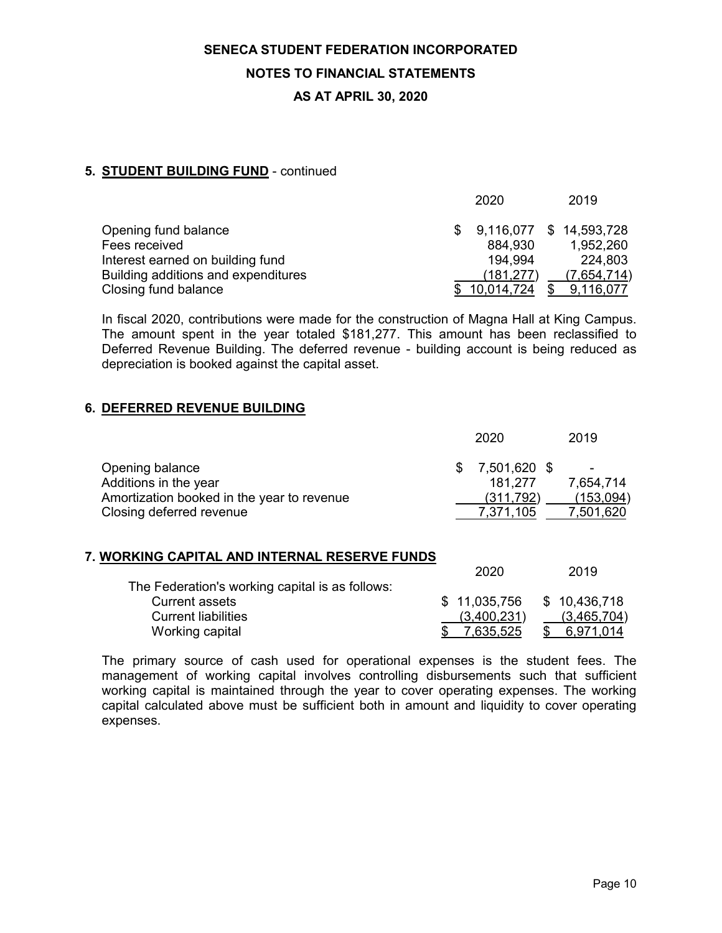# **SENECA STUDENT FEDERATION INCORPORATED NOTES TO FINANCIAL STATEMENTS**

# **AS AT APRIL 30, 2020**

### **5. STUDENT BUILDING FUND** - continued

|                                     | 2020         | 2019                    |
|-------------------------------------|--------------|-------------------------|
| Opening fund balance                |              | 9,116,077 \$ 14,593,728 |
| Fees received                       | 884,930      | 1,952,260               |
| Interest earned on building fund    | 194.994      | 224,803                 |
| Building additions and expenditures | (181, 277)   | (7,654,714)             |
| Closing fund balance                | \$10.014.724 | 9,116,077               |

In fiscal 2020, contributions were made for the construction of Magna Hall at King Campus. The amount spent in the year totaled \$181,277. This amount has been reclassified to Deferred Revenue Building. The deferred revenue - building account is being reduced as depreciation is booked against the capital asset.

#### **6. DEFERRED REVENUE BUILDING**

|                                                                                                                    |   | 2020                                                    | 2019                                 |
|--------------------------------------------------------------------------------------------------------------------|---|---------------------------------------------------------|--------------------------------------|
| Opening balance<br>Additions in the year<br>Amortization booked in the year to revenue<br>Closing deferred revenue |   | 7,501,620 \$<br>\$<br>181,277<br>(311,792)<br>7,371,105 | 7,654,714<br>(153, 094)<br>7,501,620 |
| 7. WORKING CAPITAL AND INTERNAL RESERVE FUNDS                                                                      |   |                                                         |                                      |
|                                                                                                                    |   | 2020                                                    | 2019                                 |
| The Federation's working capital is as follows:                                                                    |   |                                                         |                                      |
| <b>Current assets</b>                                                                                              | S | 11,035,756                                              | \$10,436,718                         |
| <b>Current liabilities</b>                                                                                         |   | (3,400,231)                                             | (3, 465, 704)                        |
| Working capital                                                                                                    |   | 7,635,525                                               | 6,971,014                            |

The primary source of cash used for operational expenses is the student fees. The management of working capital involves controlling disbursements such that sufficient working capital is maintained through the year to cover operating expenses. The working capital calculated above must be sufficient both in amount and liquidity to cover operating expenses.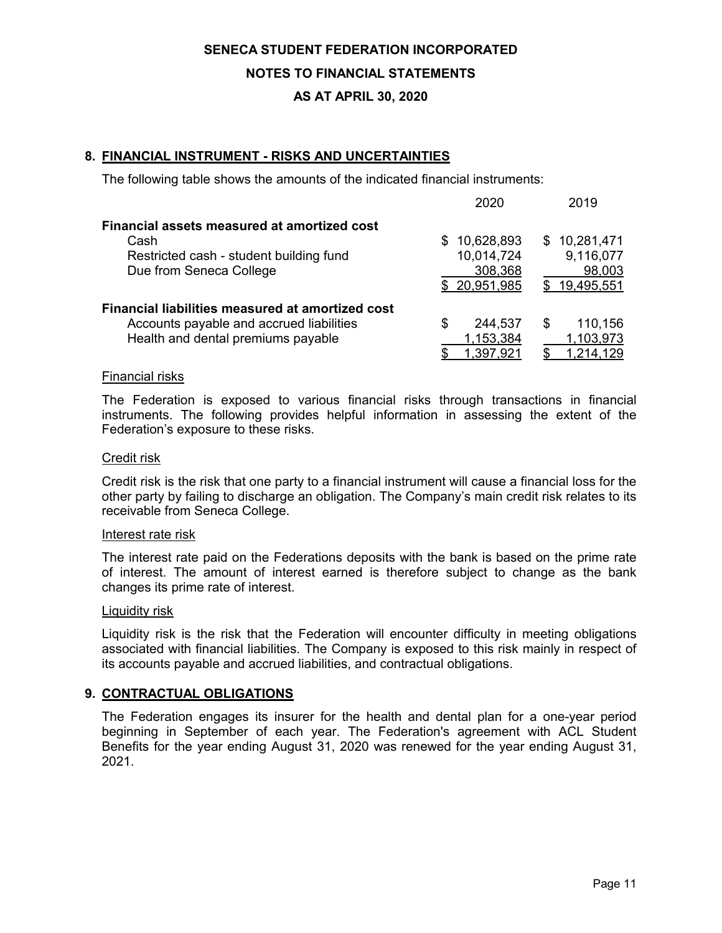#### **NOTES TO FINANCIAL STATEMENTS**

#### **AS AT APRIL 30, 2020**

#### **8. FINANCIAL INSTRUMENT - RISKS AND UNCERTAINTIES**

The following table shows the amounts of the indicated financial instruments:

|                                                  | 2020              | 2019           |
|--------------------------------------------------|-------------------|----------------|
| Financial assets measured at amortized cost      |                   |                |
| Cash                                             | 10,628,893<br>\$. | \$10,281,471   |
| Restricted cash - student building fund          | 10,014,724        | 9,116,077      |
| Due from Seneca College                          | 308,368           | 98,003         |
|                                                  | \$20,951,985      | \$19,495,551   |
| Financial liabilities measured at amortized cost |                   |                |
| Accounts payable and accrued liabilities         | 244,537<br>S      | 110,156<br>\$. |
| Health and dental premiums payable               | 1,153,384         | 1,103,973      |
|                                                  | 1,397,921         | 1,214,129      |

#### Financial risks

The Federation is exposed to various financial risks through transactions in financial instruments. The following provides helpful information in assessing the extent of the Federation's exposure to these risks.

#### Credit risk

Credit risk is the risk that one party to a financial instrument will cause a financial loss for the other party by failing to discharge an obligation. The Company's main credit risk relates to its receivable from Seneca College.

#### Interest rate risk

The interest rate paid on the Federations deposits with the bank is based on the prime rate of interest. The amount of interest earned is therefore subject to change as the bank changes its prime rate of interest.

#### Liquidity risk

Liquidity risk is the risk that the Federation will encounter difficulty in meeting obligations associated with financial liabilities. The Company is exposed to this risk mainly in respect of its accounts payable and accrued liabilities, and contractual obligations.

#### **9. CONTRACTUAL OBLIGATIONS**

The Federation engages its insurer for the health and dental plan for a one-year period beginning in September of each year. The Federation's agreement with ACL Student Benefits for the year ending August 31, 2020 was renewed for the year ending August 31, 2021.